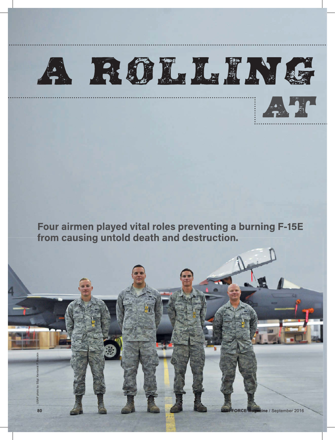



Four airmen played vital roles preventing a burning F-15E from causing untold death and destruction.

USAF photo by SSgt. Kentavist P. Brackin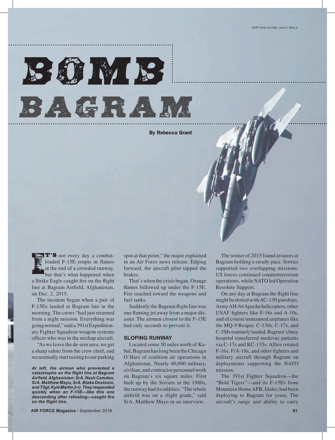

By Rebecca Grant

 $\mathbb{R}$  **T**'S not every day a combatloaded F-15E erupts in flames at the end of a crowded runway, but that's what happened when a Strike Eagle caught fire on the flight line at Bagram Airfield, Afghanistan, on Dec. 2, 2015.

The incident began when a pair of F-15Es landed at Bagram late in the morning. The crews "had just returned from a night mission. Everything was going normal," said a 391st Expeditionary Fighter Squadron weapon systems officer who was in the mishap aircraft.

"As we leave the de-arm area, we get a sharp salute from the crew chief, and we normally start taxiing to our parking

*At left, the airmen who prevented a catastrophe on the flight line at Bagram Airfi eld, Afghanistan: SrA. Nash Camden, SrA. Matthew Mayo, SrA. Blake Destasio, and TSgt. Kyle Martin (l-r). They responded quickly when an F-15E—like this one descending after refueling-caught fire* **on the flight line.** 

**AIR FORCE Magazine** / September 2016 **81**

spot at that point," the major explained in an Air Force news release. Edging forward, the aircraft pilot tapped the brakes.

That's when the crisis began. Orange flames billowed up under the F-15E. Fire reached toward the weapons and fuel tanks.

Suddenly the Bagram flight line was one flaming jet away from a major disaster. The airmen closest to the F-15E had only seconds to prevent it.

## **SLOPING RUNWAY**

Located some 30 miles north of Kabul, Bagram has long been the Chicago O'Hare of coalition air operations in Afghanistan. Nearly 40,000 military, civilian, and contractor personnel work on Bagram's six square miles. First built up by the Soviets in the 1980s, the runway had its oddities. "The whole airfield was on a slight grade," said SrA. Matthew Mayo in an interview.

The winter of 2015 found aviators at Bagram holding a steady pace. Sorties supported two overlapping missions: US forces continued counterterrorism operations, while NATO led Operation Resolute Support.

On any day at Bagram the flight line might be dotted with AC-130 gunships, Army AH-64 Apache helicopters, other USAF fighters like F-16s and A-10s, and of course unmanned airplanes like the MQ-9 Reaper. C-130s, C-17s, and C-5Ms routinely landed. Bagram's busy hospital transferred medevac patients via C-17s and KC-135s. Allies rotated F-16s, F/A-18s, and other fighters and military aircraft through Bagram on deployments supporting the NATO mission.

The 391st Fighter Squadron—the "Bold Tigers"—and its F-15Es from Mountain Home AFB, Idaho, had been deploying to Bagram for years. The aircraft's range and ability to carry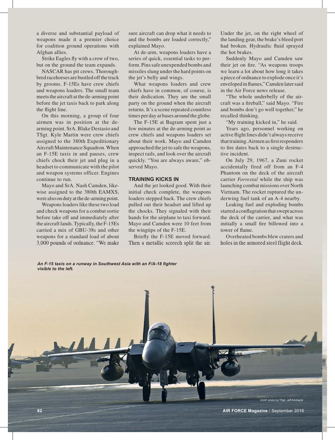a diverse and substantial payload of weapons made it a premier choice for coalition ground operations with Afghan allies.

Strike Eagles fly with a crew of two, but on the ground the team expands.

NASCAR has pit crews. Thoroughbred racehorses are bustled off the track by grooms. F-15Es have crew chiefs and weapons loaders. The small team meets the aircraft at the de-arming point before the jet taxis back to park along the flight line.

On this morning, a group of four airmen was in position at the dearming point. SrA. Blake Destasio and TSgt. Kyle Martin were crew chiefs assigned to the 380th Expeditionary Aircraft Maintenance Squadron. When an F-15E taxis in and pauses, crew chiefs chock their jet and plug in a headset to communicate with the pilot and weapon systems officer. Engines continue to run.

Mayo and SrA. Nash Camden, likewise assigned to the 380th EAMXS, were also on duty at the de-arming point.

Weapons loaders like these two load and check weapons for a combat sortie before take off and immediately after the aircraft lands. Typically, the F-15Es carried a mix of GBU-38s and other weapons for a standard load of about 3,000 pounds of ordnance. "We make sure aircraft can drop what it needs to and the bombs are loaded correctly," explained Mayo.

At de-arm, weapons loaders have a series of quick, essential tasks to perform. Pins safe unexpended bombs and missiles slung under the hard points on the jet's belly and wings.

What weapons loaders and crew chiefs have in common, of course, is their dedication. They are the small party on the ground when the aircraft returns. It's a scene repeated countless times per day at bases around the globe.

The F-15E at Bagram spent just a few minutes at the de-arming point as crew chiefs and weapons loaders set about their work. Mayo and Camden approached the jet to safe the weapons, inspect rails, and look over the aircraft quickly. "You are always aware," observed Mayo.

## **TRAINING KICKS IN**

And the jet looked good. With their initial check complete, the weapons loaders stepped back. The crew chiefs pulled out their headset and lifted up the chocks. They signaled with their hands for the airplane to taxi forward. Mayo and Camden were 10 feet from the wingtips of the F-15E.

Briefly the F-15E moved forward. Then a metallic screech split the air. Under the jet, on the right wheel of the landing gear, the brake's bleed port had broken. Hydraulic fluid sprayed the hot brakes.

Suddenly Mayo and Camden saw their jet on fire. "As weapons troops we learn a lot about how long it takes a piece of ordnance to explode once it's enveloped in flames," Camden later said in the Air Force news release.

"The whole underbelly of the aircraft was a fireball," said Mayo. "Fire and bombs don't go well together," he recalled thinking.

"My training kicked in," he said.

Years ago, personnel working on active flight lines didn't always receive that training. Airmen as first responders to fire dates back to a single destructive incident.

On July 29, 1967, a Zuni rocket accidentally fired off from an F-4 Phantom on the deck of the aircraft carrier *Forrestal* while the ship was launching combat missions over North Vietnam. The rocket ruptured the underwing fuel tank of an A-4 nearby.

Leaking fuel and exploding bombs started a conflagration that swept across the deck of the carrier, and what was initially a small fire billowed into a tower of flame.

Overheated bombs blew craters and holes in the armored steel flight deck.

An F-15 taxis on a runway in Southwest Asia with an F/A-18 fighter *visible to the left.*

USAF photo by TSgt. Jeff Andrejcik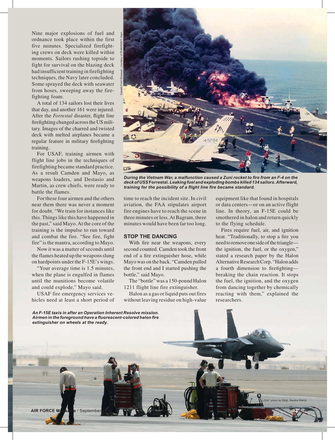Nine major explosions of fuel and ordnance took place within the first five minutes. Specialized firefighting crews on deck were killed within moments. Sailors rushing topside to fight for survival on the blazing deck had insufficient training in firefighting techniques, the Navy later concluded. Some sprayed the deck with seawater from hoses, sweeping away the firefighting foam.

A total of 134 sailors lost their lives that day, and another 161 were injured. After the *Forrestal* disaster, flight line firefighting changed across the US military. Images of the charred and twisted deck with melted airplanes became a regular feature in military firefighting training.

For USAF, training airmen with flight line jobs in the techniques of firefighting became standard practice. As a result Camden and Mayo, as weapons loaders, and Destasio and Martin, as crew chiefs, were ready to battle the flames.

For these four airmen and the others near them there was never a moment for doubt. "We train for instances like this. Things like this have happened in the past," said Mayo. At the core of the training is the impulse to run toward and combat the fire. "See fire, fight fire" is the mantra, according to Mayo.

Now it was a matter of seconds until the flames heated up the weapons slung on hardpoints under the F-15E's wings.

"Your average time is 1.5 minutes, when the plane is engulfed in flames until the munitions become volatile and could explode," Mayo said.

USAF fire emergency services vehicles need at least a short period of



During the Vietnam War, a malfunction caused a Zuni rocket to fire from an F-4 on the *deck of USS* **Forrestal.** *Leaking fuel and exploding bombs killed 134 sailors. Afterward, training for the possibility of a fl ight line fi re became standard.*

time to reach the incident site. In civil aviation, the FAA stipulates airport fire engines have to reach the scene in three minutes or less. At Bagram, three minutes would have been far too long.

## **STOP THE DANCING**

With fire near the weapons, every second counted. Camden took the front end of a fire extinguisher hose, while Mayo was on the back. "Camden pulled the front end and I started pushing the bottle," said Mayo.

The "bottle" was a 150-pound Halon 1211 flight line fire extinguisher.

Halon as a gas or liquid puts out fires without leaving residue on high-value

equipment like that found in hospitals or data centers—or on an active flight line. In theory, an F-15E could be smothered in halon and return quickly to the flying schedule.

Fires require fuel, air, and ignition heat. "Traditionally, to stop a fire you need to remove one side of the triangle the ignition, the fuel, or the oxygen," stated a research paper by the Halon Alternative Research Corp. "Halon adds a fourth dimension to firefighting breaking the chain reaction. It stops the fuel, the ignition, and the oxygen from dancing together by chemically reacting with them," explained the researchers.

USAF photo by SSgt. Sandra Welch

*An F-15E taxis in after an Operation Inherent Resolve mission. Airmen in the foreground have a fl uorescent-colored halon fi re extinguisher on wheels at the ready.*